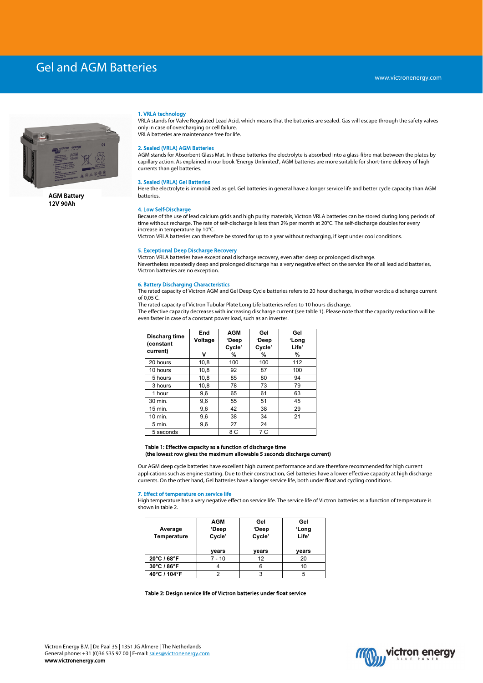# Gel and AGM Batteries



AGM Battery 12V 90Ah

#### 1. VRLA technology

VRLA stands for Valve Regulated Lead Acid, which means that the batteries are sealed. Gas will escape through the safety valves only in case of overcharging or cell failure. VRLA batteries are maintenance free for life.

#### 2. Sealed (VRLA) AGM Batteries

AGM stands for Absorbent Glass Mat. In these batteries the electrolyte is absorbed into a glass-fibre mat between the plates by capillary action. As explained in our book 'Energy Unlimited', AGM batteries are more suitable for short-time delivery of high currents than gel batteries.

#### 3. Sealed (VRLA) Gel Batteries

Here the electrolyte is immobilized as gel. Gel batteries in general have a longer service life and better cycle capacity than AGM batteries.

# 4. Low Self-Discharge

Because of the use of lead calcium grids and high purity materials, Victron VRLA batteries can be stored during long periods of time without recharge. The rate of self-discharge is less than 2% per month at 20°C. The self-discharge doubles for every increase in temperature by 10°C.

Victron VRLA batteries can therefore be stored for up to a year without recharging, if kept under cool conditions.

#### 5. Exceptional Deep Discharge Recovery

Victron VRLA batteries have exceptional discharge recovery, even after deep or prolonged discharge. Nevertheless repeatedly deep and prolonged discharge has a very negative effect on the service life of all lead acid batteries, Victron batteries are no exception.

#### 6. Battery Discharging Characteristics

The rated capacity of Victron AGM and Gel Deep Cycle batteries refers to 20 hour discharge, in other words: a discharge current of 0,05 C.

The rated capacity of Victron Tubular Plate Long Life batteries refers to 10 hours discharge.

The effective capacity decreases with increasing discharge current (see table 1). Please note that the capacity reduction will be even faster in case of a constant power load, such as an inverter.

| Discharg time<br>(constant<br>current) | End<br>Voltage<br>v | <b>AGM</b><br>'Deep<br>Cycle'<br>% | Gel<br>'Deep<br>Cycle'<br>℅ | Gel<br>'Long<br>Life'<br>% |
|----------------------------------------|---------------------|------------------------------------|-----------------------------|----------------------------|
| 20 hours                               | 10,8                | 100                                | 100                         | 112                        |
| 10 hours                               | 10,8                | 92                                 | 87                          | 100                        |
| 5 hours                                | 10,8                | 85                                 | 80                          | 94                         |
| 3 hours                                | 10,8                | 78                                 | 73                          | 79                         |
| 1 hour                                 | 9,6                 | 65                                 | 61                          | 63                         |
| 30 min.                                | 9,6                 | 55                                 | 51                          | 45                         |
| 15 min.                                | 9,6                 | 42                                 | 38                          | 29                         |
| 10 min.                                | 9,6                 | 38                                 | 34                          | 21                         |
| 5 min.                                 | 9,6                 | 27                                 | 24                          |                            |
| 5 seconds                              |                     | 8 C                                | 7 C                         |                            |

#### Table 1: Effective capacity as a function of discharge time (the lowest row gives the maximum allowable 5 seconds discharge current)

Our AGM deep cycle batteries have excellent high current performance and are therefore recommended for high current applications such as engine starting. Due to their construction, Gel batteries have a lower effective capacity at high discharge currents. On the other hand, Gel batteries have a longer service life, both under float and cycling conditions.

#### 7. Effect of temperature on service life

High temperature has a very negative effect on service life. The service life of Victron batteries as a function of temperature is shown in table 2.

| Average<br>Temperature | <b>AGM</b><br>'Deep<br>Cycle' | Gel<br>'Deep<br>Cycle' | Gel<br>'Long<br>Life' |  |
|------------------------|-------------------------------|------------------------|-----------------------|--|
|                        | vears                         | vears                  | years                 |  |
|                        |                               |                        |                       |  |
| 20°C / 68°F            | 7 - 10                        | 12                     | 20                    |  |
| 30°C / 86°F            |                               | 6                      | 10                    |  |

Table 2: Design service life of Victron batteries under float service

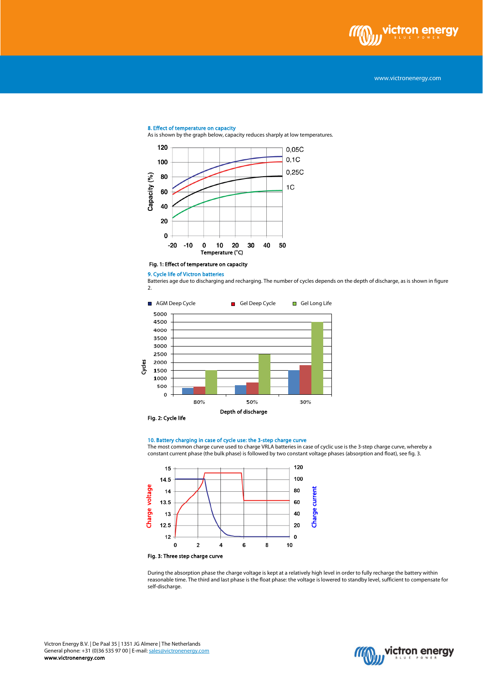

www.victronenergy.com

# 8. Effect of temperature on capacity





## Fig. 1: Effect of temperature on capacity

#### 9. Cycle life of Victron batteries

Batteries age due to discharging and recharging. The number of cycles depends on the depth of discharge, as is shown in figure 2.



#### 10. Battery charging in case of cycle use: the 3-step charge curve

The most common charge curve used to charge VRLA batteries in case of cyclic use is the 3-step charge curve, whereby a constant current phase (the bulk phase) is followed by two constant voltage phases (absorption and float), see fig. 3.



# Fig. 3: Three step charge curve

During the absorption phase the charge voltage is kept at a relatively high level in order to fully recharge the battery within reasonable time. The third and last phase is the float phase: the voltage is lowered to standby level, sufficient to compensate for self-discharge.

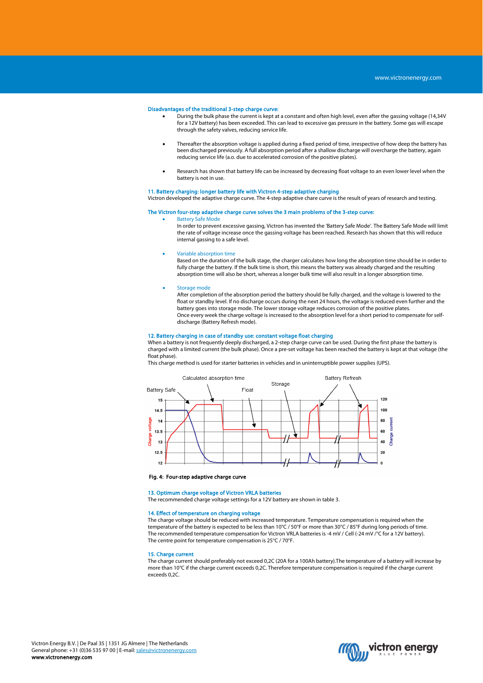#### Disadvantages of the traditional 3-step charge curve:

- During the bulk phase the current is kept at a constant and often high level, even after the gassing voltage (14,34V for a 12V battery) has been exceeded. This can lead to excessive gas pressure in the battery. Some gas will escape through the safety valves, reducing service life.
- Thereafter the absorption voltage is applied during a fixed period of time, irrespective of how deep the battery has been discharged previously. A full absorption period after a shallow discharge will overcharge the battery, again reducing service life (a.o. due to accelerated corrosion of the positive plates).
- Research has shown that battery life can be increased by decreasing float voltage to an even lower level when the battery is not in use.

#### 11. Battery charging: longer battery life with Victron 4-step adaptive charging

Victron developed the adaptive charge curve. The 4-step adaptive chare curve is the result of years of research and testing.

# The Victron four-step adaptive charge curve solves the 3 main problems of the 3-step curve:

## **Battery Safe Mode**

In order to prevent excessive gassing, Victron has invented the 'Battery Safe Mode'. The Battery Safe Mode will limit the rate of voltage increase once the gassing voltage has been reached. Research has shown that this will reduce internal gassing to a safe level.

#### • Variable absorption time

Based on the duration of the bulk stage, the charger calculates how long the absorption time should be in order to fully charge the battery. If the bulk time is short, this means the battery was already charged and the resulting absorption time will also be short, whereas a longer bulk time will also result in a longer absorption time.

#### Storage mode

After completion of the absorption period the battery should be fully charged, and the voltage is lowered to the float or standby level. If no discharge occurs during the next 24 hours, the voltage is reduced even further and the battery goes into storage mode. The lower storage voltage reduces corrosion of the positive plates. Once every week the charge voltage is increased to the absorption level for a short period to compensate for selfdischarge (Battery Refresh mode).

# 12. Battery charging in case of standby use: constant voltage float charging

When a battery is not frequently deeply discharged, a 2-step charge curve can be used. During the first phase the battery is charged with a limited current (the bulk phase). Once a pre-set voltage has been reached the battery is kept at that voltage (the float phase).

This charge method is used for starter batteries in vehicles and in uninterruptible power supplies (UPS).



# Fig. 4: Four-step adaptive charge curve

#### 13. Optimum charge voltage of Victron VRLA batteries

The recommended charge voltage settings for a 12V battery are shown in table 3.

#### 14. Effect of temperature on charging voltage

The charge voltage should be reduced with increased temperature. Temperature compensation is required when the temperature of the battery is expected to be less than 10°C / 50°F or more than 30°C / 85°F during long periods of time. The recommended temperature compensation for Victron VRLA batteries is -4 mV / Cell (-24 mV /<sup>°</sup>C for a 12V battery). The centre point for temperature compensation is 25°C / 70°F.

#### 15. Charge current

The charge current should preferably not exceed 0,2C (20A for a 100Ah battery).The temperature of a battery will increase by more than 10°C if the charge current exceeds 0,2C. Therefore temperature compensation is required if the charge current exceeds 0,2C.